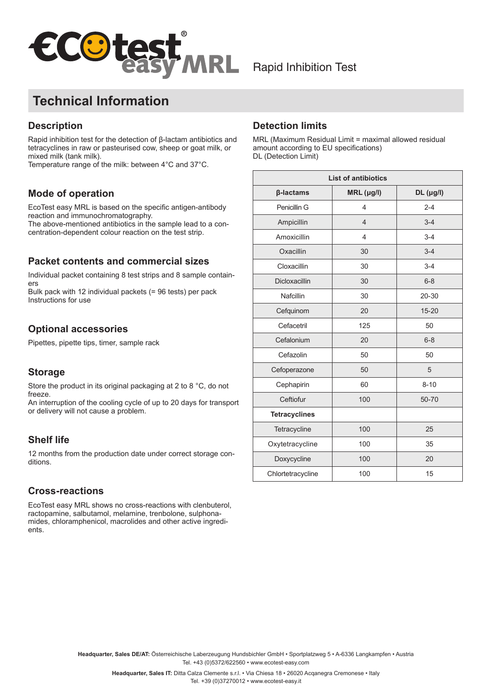

# **Technical Information**

## **Description**

Rapid inhibition test for the detection of β-lactam antibiotics and tetracyclines in raw or pasteurised cow, sheep or goat milk, or mixed milk (tank milk).

Temperature range of the milk: between 4°C and 37°C.

## **Mode of operation**

EcoTest easy MRL is based on the specific antigen-antibody reaction and immunochromatography.

The above-mentioned antibiotics in the sample lead to a concentration-dependent colour reaction on the test strip.

#### **Packet contents and commercial sizes**

Individual packet containing 8 test strips and 8 sample containers

Bulk pack with 12 individual packets (= 96 tests) per pack Instructions for use

### **Optional accessories**

Pipettes, pipette tips, timer, sample rack

### **Storage**

Store the product in its original packaging at 2 to 8 °C, do not freeze.

An interruption of the cooling cycle of up to 20 days for transport or delivery will not cause a problem.

### **Shelf life**

12 months from the production date under correct storage conditions.

### **Cross-reactions**

EcoTest easy MRL shows no cross-reactions with clenbuterol, ractopamine, salbutamol, melamine, trenbolone, sulphonamides, chloramphenicol, macrolides and other active ingredients.

#### **Detection limits**

MRL (Maximum Residual Limit = maximal allowed residual amount according to EU specifications) DL (Detection Limit)

| <b>List of antibiotics</b> |                |             |
|----------------------------|----------------|-------------|
| β-lactams                  | $MRL$ (µg/l)   | $DL$ (µg/l) |
| Penicillin G               | 4              | $2 - 4$     |
| Ampicillin                 | $\overline{4}$ | $3 - 4$     |
| Amoxicillin                | 4              | $3 - 4$     |
| Oxacillin                  | 30             | $3 - 4$     |
| Cloxacillin                | 30             | $3 - 4$     |
| Dicloxacillin              | 30             | $6 - 8$     |
| Nafcillin                  | 30             | 20-30       |
| Cefquinom                  | 20             | $15 - 20$   |
| Cefacetril                 | 125            | 50          |
| Cefalonium                 | 20             | $6 - 8$     |
| Cefazolin                  | 50             | 50          |
| Cefoperazone               | 50             | 5           |
| Cephapirin                 | 60             | $8 - 10$    |
| Ceftiofur                  | 100            | 50-70       |
| <b>Tetracyclines</b>       |                |             |
| Tetracycline               | 100            | 25          |
| Oxytetracycline            | 100            | 35          |
| Doxycycline                | 100            | 20          |
| Chlortetracycline          | 100            | 15          |

**Headquarter, Sales DE/AT:** Österreichische Laberzeugung Hundsbichler GmbH • Sportplatzweg 5 • A-6336 Langkampfen • Austria Tel. +43 (0)5372/622560 • www.ecotest-easy.com